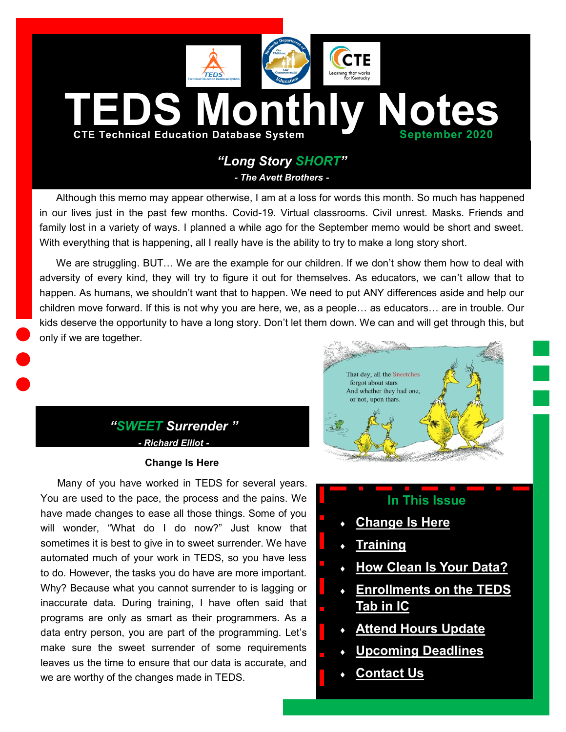<span id="page-0-0"></span>

Although this memo may appear otherwise, I am at a loss for words this month. So much has happened in our lives just in the past few months. Covid-19. Virtual classrooms. Civil unrest. Masks. Friends and family lost in a variety of ways. I planned a while ago for the September memo would be short and sweet. With everything that is happening, all I really have is the ability to try to make a long story short.

We are struggling. BUT... We are the example for our children. If we don't show them how to deal with adversity of every kind, they will try to figure it out for themselves. As educators, we can't allow that to happen. As humans, we shouldn't want that to happen. We need to put ANY differences aside and help our children move forward. If this is not why you are here, we, as a people… as educators… are in trouble. Our kids deserve the opportunity to have a long story. Don't let them down. We can and will get through this, but only if we are together.

# *"SWEET Surrender " - Richard Elliot -*

## **Change Is Here**

Many of you have worked in TEDS for several years. You are used to the pace, the process and the pains. We have made changes to ease all those things. Some of you will wonder, "What do I do now?" Just know that sometimes it is best to give in to sweet surrender. We have automated much of your work in TEDS, so you have less to do. However, the tasks you do have are more important. Why? Because what you cannot surrender to is lagging or inaccurate data. During training, I have often said that programs are only as smart as their programmers. As a data entry person, you are part of the programming. Let's make sure the sweet surrender of some requirements leaves us the time to ensure that our data is accurate, and we are worthy of the changes made in TEDS.



# **In This Issue**

- **[Change Is Here](#page-0-0)**
- **[Training](#page-1-0)**
- **[How Clean Is Your Data?](#page-1-0)**
- **[Enrollments on the TEDS](#page-2-0)  [Tab in IC](#page-2-0)**
- **[Attend Hours Update](#page-2-0)**
- **[Upcoming Deadlines](#page-2-0)**
- **[Contact Us](#page-3-0)**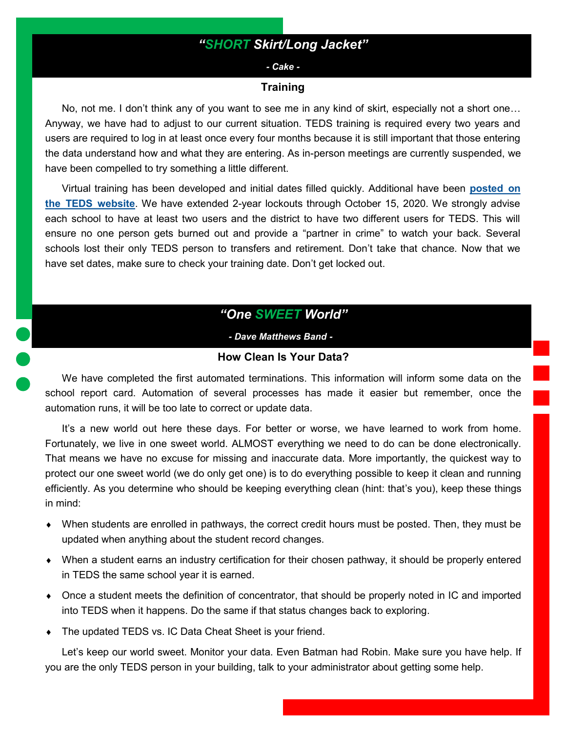# *"SHORT Skirt/Long Jacket"*

#### *- Cake -*

#### **Training**

<span id="page-1-0"></span>No, not me. I don't think any of you want to see me in any kind of skirt, especially not a short one… Anyway, we have had to adjust to our current situation. TEDS training is required every two years and users are required to log in at least once every four months because it is still important that those entering the data understand how and what they are entering. As in-person meetings are currently suspended, we have been compelled to try something a little different.

Virtual training has been developed and initial dates filled quickly. Additional have been **[posted on](https://education.ky.gov/CTE/teds/Pages/default.aspx)  [the TEDS website](https://education.ky.gov/CTE/teds/Pages/default.aspx)**. We have extended 2-year lockouts through October 15, 2020. We strongly advise each school to have at least two users and the district to have two different users for TEDS. This will ensure no one person gets burned out and provide a "partner in crime" to watch your back. Several schools lost their only TEDS person to transfers and retirement. Don't take that chance. Now that we have set dates, make sure to check your training date. Don't get locked out.

*"One SWEET World"*

*- Dave Matthews Band - -*

## **How Clean Is Your Data?**

We have completed the first automated terminations. This information will inform some data on the school report card. Automation of several processes has made it easier but remember, once the automation runs, it will be too late to correct or update data.

It's a new world out here these days. For better or worse, we have learned to work from home. Fortunately, we live in one sweet world. ALMOST everything we need to do can be done electronically. That means we have no excuse for missing and inaccurate data. More importantly, the quickest way to protect our one sweet world (we do only get one) is to do everything possible to keep it clean and running efficiently. As you determine who should be keeping everything clean (hint: that's you), keep these things in mind:

- When students are enrolled in pathways, the correct credit hours must be posted. Then, they must be updated when anything about the student record changes.
- When a student earns an industry certification for their chosen pathway, it should be properly entered in TEDS the same school year it is earned.
- Once a student meets the definition of concentrator, that should be properly noted in IC and imported into TEDS when it happens. Do the same if that status changes back to exploring.
- The updated TEDS vs. IC Data Cheat Sheet is your friend.

Let's keep our world sweet. Monitor your data. Even Batman had Robin. Make sure you have help. If you are the only TEDS person in your building, talk to your administrator about getting some help.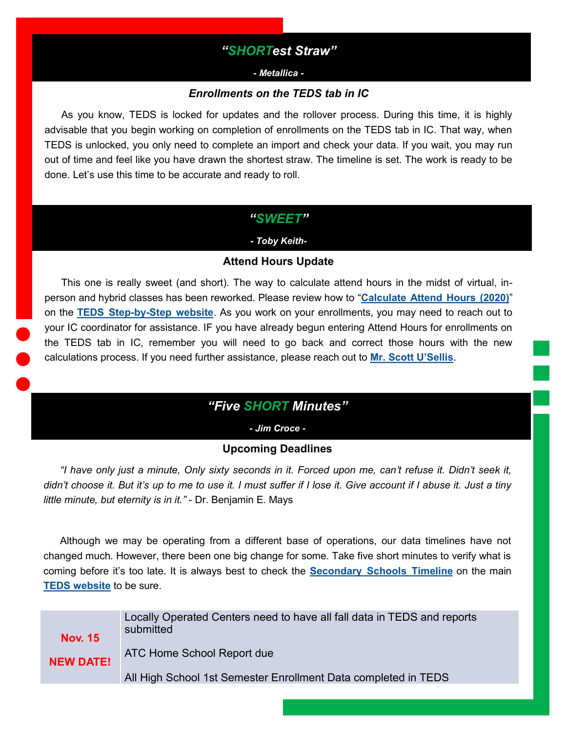## *"SHORTest Straw"*

#### *- Metallica -*

## *Enrollments on the TEDS tab in IC*

<span id="page-2-0"></span>As you know, TEDS is locked for updates and the rollover process. During this time, it is highly advisable that you begin working on completion of enrollments on the TEDS tab in IC. That way, when TEDS is unlocked, you only need to complete an import and check your data. If you wait, you may run out of time and feel like you have drawn the shortest straw. The timeline is set. The work is ready to be done. Let's use this time to be accurate and ready to roll.

## *"SWEET"*

## *- Toby Keith-*

## **Attend Hours Update**

This one is really sweet (and short). The way to calculate attend hours in the midst of virtual, inperson and hybrid classes has been reworked. Please review how to "**[Calculate Attend Hours \(2020\)](https://education.ky.gov/CTE/teds/Documents/Calculating_CTE_Attend_Hours_September_2020.pdf)**" on the **TEDS Step-by-[Step website](https://education.ky.gov/CTE/teds/Pages/TEDSStepbyStep.aspx)**. As you work on your enrollments, you may need to reach out to your IC coordinator for assistance. IF you have already begun entering Attend Hours for enrollments on the TEDS tab in IC, remember you will need to go back and correct those hours with the new calculations process. If you need further assistance, please reach out to **[Mr. Scott U](mailto:scott.usellis@education.ky.gov?subject=Help%20with%20Attend%20Hours)'Sellis**.

# *"Five SHORT Minutes"*

*- Jim Croce -*

## **Upcoming Deadlines**

*"I have only just a minute, Only sixty seconds in it. Forced upon me, can't refuse it. Didn't seek it, didn't choose it. But it's up to me to use it. I must suffer if I lose it. Give account if I abuse it. Just a tiny little minute, but eternity is in it."* - Dr. Benjamin E. Mays

Although we may be operating from a different base of operations, our data timelines have not changed much. However, there been one big change for some. Take five short minutes to verify what is coming before it's too late. It is always best to check the **[Secondary Schools Timeline](https://education.ky.gov/CTE/teds/Documents/TEDS_Time.pdf)** on the main **[TEDS website](https://education.ky.gov/CTE/teds/Pages/default.aspx)** to be sure.

| <b>Nov. 15</b>   | Locally Operated Centers need to have all fall data in TEDS and reports<br>submitted |
|------------------|--------------------------------------------------------------------------------------|
| <b>NEW DATE!</b> | ATC Home School Report due                                                           |
|                  | All High School 1st Semester Enrollment Data completed in TEDS                       |